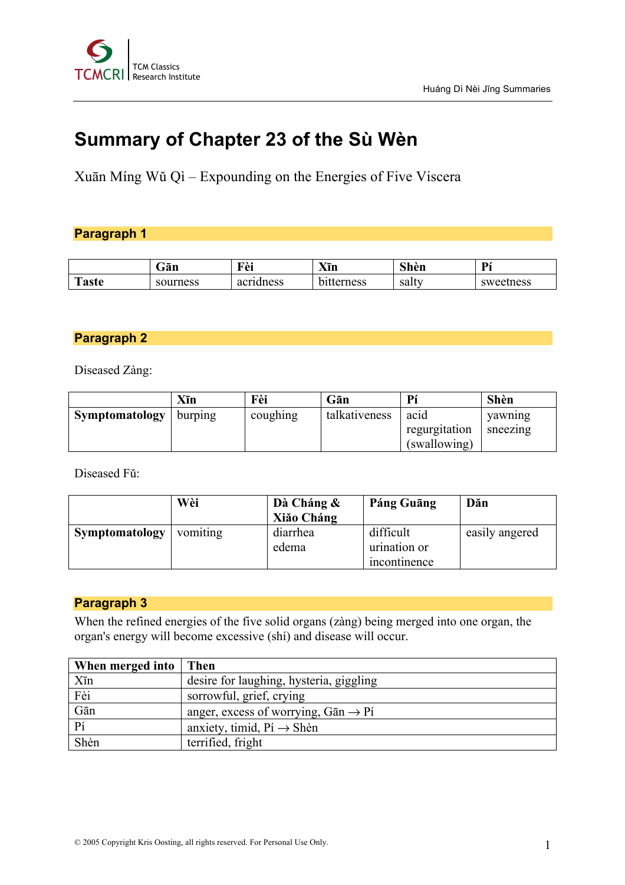

# **Summary of Chapter 23 of the Sù Wèn**

Xuān Míng Wŭ Qì – Expounding on the Energies of Five Viscera

## **Paragraph 1**

|                     | Gān      | $\mathbf{m}$<br>ťΑı<br>B<br>∼ | Xīn                | $\sim$ $\blacksquare$<br>Shèn | D.<br>. . |
|---------------------|----------|-------------------------------|--------------------|-------------------------------|-----------|
| <b>CONT</b><br>aste | sourness | acri<br>idness                | erness<br>∽<br>ר ב | salty                         | sweetness |

## **Paragraph 2**

Diseased Zàng:

|                       | Xīn     | Fèi      | Gān           | Di            | Shèn     |
|-----------------------|---------|----------|---------------|---------------|----------|
| <b>Symptomatology</b> | burping | coughing | talkativeness | acid          | yawning  |
|                       |         |          |               | regurgitation | sneezing |
|                       |         |          |               | (swallowing)  |          |

Diseased Fŭ:

|                       | Wèi      | Dà Cháng &<br>Xião Cháng | <b>Páng Guāng</b>                         | Dăn            |
|-----------------------|----------|--------------------------|-------------------------------------------|----------------|
| <b>Symptomatology</b> | vomiting | diarrhea<br>edema        | difficult<br>urination or<br>incontinence | easily angered |

## **Paragraph 3**

When the refined energies of the five solid organs (zàng) being merged into one organ, the organ's energy will become excessive (shí) and disease will occur.

| When merged into   Then |                                                       |
|-------------------------|-------------------------------------------------------|
| $X\bar{\text{in}}$      | desire for laughing, hysteria, giggling               |
| Fèi                     | sorrowful, grief, crying                              |
| Gān                     | anger, excess of worrying, $G\bar{a}n \rightarrow Pf$ |
| $P_1$                   | anxiety, timid, $Pi \rightarrow$ Shèn                 |
| Shèn                    | terrified, fright                                     |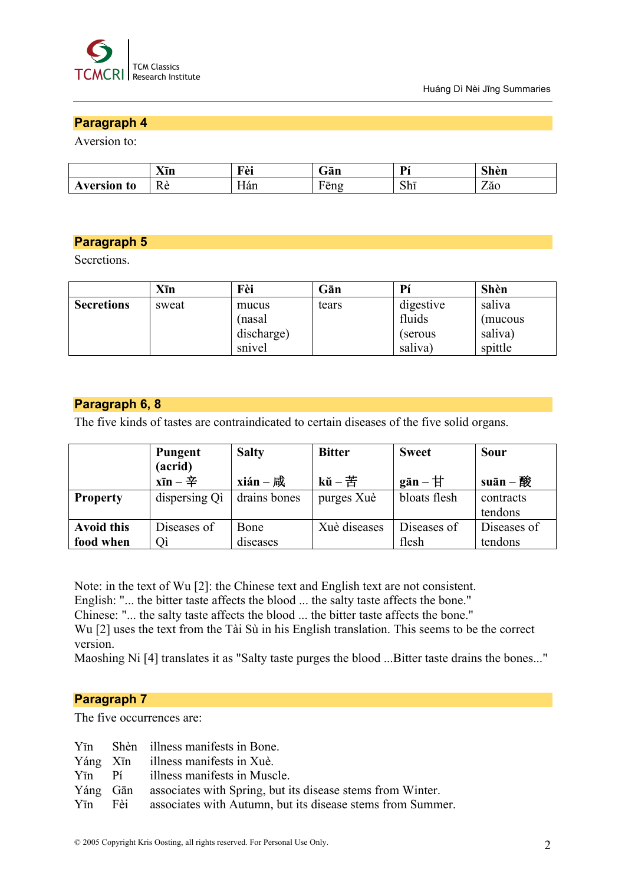

## **Paragraph 4**

Aversion to:

|               | Xīn            | <b>TIME</b><br>ום ו<br>⊥ ∪⊥ | Gān                                                | D.<br>--                        | $\sim$<br>ÂÐ<br>эпеп |
|---------------|----------------|-----------------------------|----------------------------------------------------|---------------------------------|----------------------|
| version<br>t0 | .<br>17C<br>__ | Han                         | $\mathbf{m}$<br>$\alpha$ n $\alpha$<br>า เ<br>V116 | $\sim$ 1 $-$<br>$\mathbf{S}$ ni | ⇁◡<br>2ao            |

### **Paragraph 5**

Secretions.

|                   | Xīn   | Fèi        | Gān   | Pí        | Shèn     |
|-------------------|-------|------------|-------|-----------|----------|
| <b>Secretions</b> | sweat | mucus      | tears | digestive | saliva   |
|                   |       | (nasal     |       | fluids    | (mucous) |
|                   |       | discharge) |       | serous    | saliva)  |
|                   |       | snivel     |       | saliva)   | spittle  |

#### **Paragraph 6, 8**

The five kinds of tastes are contraindicated to certain diseases of the five solid organs.

|                   | Pungent              | <b>Salty</b> | <b>Bitter</b>    | <b>Sweet</b>                                        | <b>Sour</b> |
|-------------------|----------------------|--------------|------------------|-----------------------------------------------------|-------------|
|                   | (acrid)              |              |                  |                                                     |             |
|                   | $x\bar{m}-\hat{\pm}$ | xián — 成     | $k\check{u}$ – 苦 | $\mathbf{g}\bar{\mathbf{a}}\mathbf{n} - \mathbf{H}$ | suān — 酸    |
| <b>Property</b>   | dispersing Qi        | drains bones | purges Xuè       | bloats flesh                                        | contracts   |
|                   |                      |              |                  |                                                     | tendons     |
| <b>Avoid this</b> | Diseases of          | Bone         | Xuè diseases     | Diseases of                                         | Diseases of |
| food when         | Оì                   | diseases     |                  | flesh                                               | tendons     |

Note: in the text of Wu [2]: the Chinese text and English text are not consistent.

English: "... the bitter taste affects the blood ... the salty taste affects the bone."

Chinese: "... the salty taste affects the blood ... the bitter taste affects the bone."

Wu [2] uses the text from the Tài Sù in his English translation. This seems to be the correct version.

Maoshing Ni [4] translates it as "Salty taste purges the blood ...Bitter taste drains the bones..."

#### **Paragraph 7**

The five occurrences are:

|  | Y <sub>I</sub> n Shèn illness manifests in Bone.                              |
|--|-------------------------------------------------------------------------------|
|  | Yáng Xīn illness manifests in Xuè.                                            |
|  | Y <sub>T</sub> P <sub>1</sub> illness manifests in Muscle.                    |
|  | Yáng Gān associates with Spring, but its disease stems from Winter.           |
|  | Y <sub>I</sub> Fèi associates with Autumn, but its disease stems from Summer. |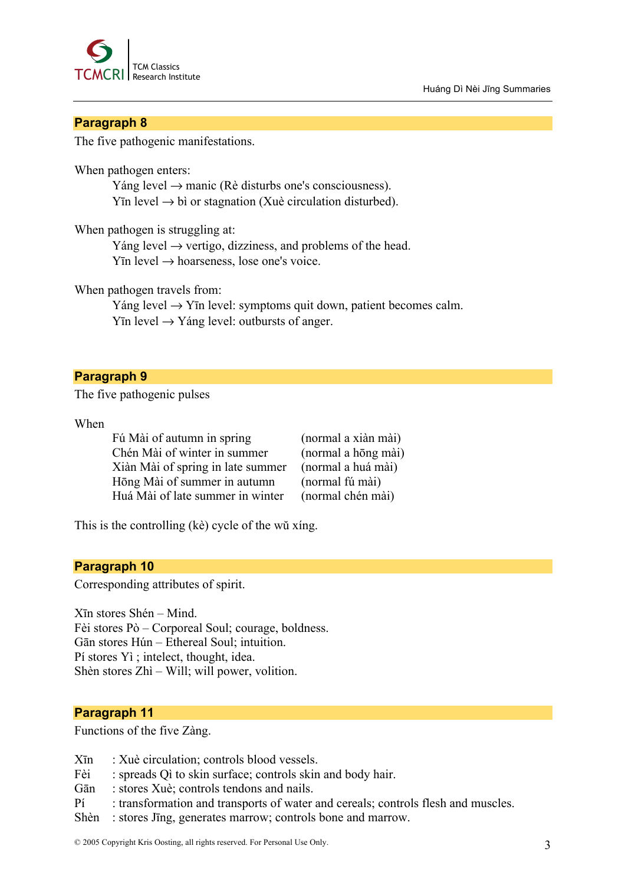

#### **Paragraph 8**

The five pathogenic manifestations.

When pathogen enters:

Yáng level  $\rightarrow$  manic (Rè disturbs one's consciousness). Y<sub>In</sub> level  $\rightarrow$  bì or stagnation (Xuè circulation disturbed).

When pathogen is struggling at:

Yáng level  $\rightarrow$  vertigo, dizziness, and problems of the head.  $Y$ īn level  $\rightarrow$  hoarseness, lose one's voice.

When pathogen travels from:

Yáng level  $\rightarrow$  Yīn level: symptoms quit down, patient becomes calm.  $Y$ <del>In level  $\rightarrow$  Y angelevel</del>: outbursts of anger.

#### **Paragraph 9**

The five pathogenic pulses

When

Fú Mài of autumn in spring (normal a xiàn mài) Chén Mài of winter in summer (normal a hōng mài) Xiàn Mài of spring in late summer (normal a huá mài) Hōng Mài of summer in autumn (normal fú mài) Huá Mài of late summer in winter (normal chén mài)

This is the controlling (kè) cycle of the wŭ xíng.

#### **Paragraph 10**

Corresponding attributes of spirit.

Xīn stores Shén – Mind. Fèi stores Pò – Corporeal Soul; courage, boldness. Gān stores Hún – Ethereal Soul; intuition. Pí stores Yì ; intelect, thought, idea. Shèn stores Zhì – Will; will power, volition.

### **Paragraph 11**

Functions of the five Zàng.

- Xīn : Xuè circulation; controls blood vessels.
- Fèi : spreads Qì to skin surface; controls skin and body hair.
- Gān : stores Xuè; controls tendons and nails.
- Pí : transformation and transports of water and cereals; controls flesh and muscles.
- Shèn : stores Jīng, generates marrow; controls bone and marrow.